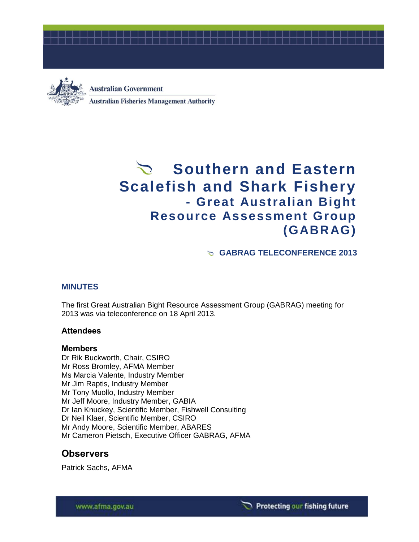



**Australian Government Australian Fisheries Management Authority** 

# Southern and Eastern **Scalefish and Shark Fishery - Great Australian Bight Resource Assessment Group (GABRAG)**

**GABRAG TELECONFERENCE 2013**

# **MINUTES**

The first Great Australian Bight Resource Assessment Group (GABRAG) meeting for 2013 was via teleconference on 18 April 2013.

# **Attendees**

### **Members**

Dr Rik Buckworth, Chair, CSIRO Mr Ross Bromley, AFMA Member Ms Marcia Valente, Industry Member Mr Jim Raptis, Industry Member Mr Tony Muollo, Industry Member Mr Jeff Moore, Industry Member, GABIA Dr Ian Knuckey, Scientific Member, Fishwell Consulting Dr Neil Klaer, Scientific Member, CSIRO Mr Andy Moore, Scientific Member, ABARES Mr Cameron Pietsch, Executive Officer GABRAG, AFMA

# **Observers**

Patrick Sachs, AFMA

www.afma.gov.au

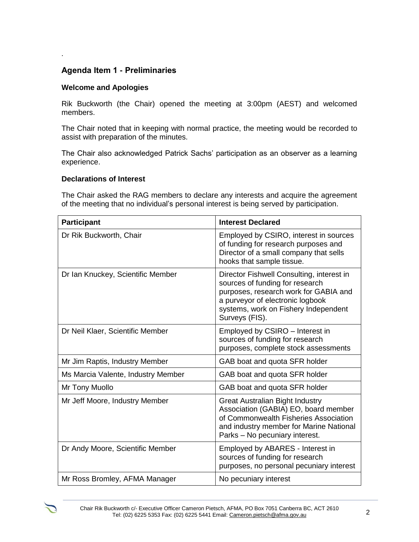# **Agenda Item 1 - Preliminaries**

## **Welcome and Apologies**

*.* 

Rik Buckworth (the Chair) opened the meeting at 3:00pm (AEST) and welcomed members.

The Chair noted that in keeping with normal practice, the meeting would be recorded to assist with preparation of the minutes.

The Chair also acknowledged Patrick Sachs' participation as an observer as a learning experience.

### **Declarations of Interest**

The Chair asked the RAG members to declare any interests and acquire the agreement of the meeting that no individual's personal interest is being served by participation.

| <b>Participant</b>                 | <b>Interest Declared</b>                                                                                                                                                                                            |
|------------------------------------|---------------------------------------------------------------------------------------------------------------------------------------------------------------------------------------------------------------------|
| Dr Rik Buckworth, Chair            | Employed by CSIRO, interest in sources<br>of funding for research purposes and<br>Director of a small company that sells<br>hooks that sample tissue.                                                               |
| Dr Ian Knuckey, Scientific Member  | Director Fishwell Consulting, interest in<br>sources of funding for research<br>purposes, research work for GABIA and<br>a purveyor of electronic logbook<br>systems, work on Fishery Independent<br>Surveys (FIS). |
| Dr Neil Klaer, Scientific Member   | Employed by CSIRO - Interest in<br>sources of funding for research<br>purposes, complete stock assessments                                                                                                          |
| Mr Jim Raptis, Industry Member     | GAB boat and quota SFR holder                                                                                                                                                                                       |
| Ms Marcia Valente, Industry Member | GAB boat and quota SFR holder                                                                                                                                                                                       |
| Mr Tony Muollo                     | GAB boat and quota SFR holder                                                                                                                                                                                       |
| Mr Jeff Moore, Industry Member     | <b>Great Australian Bight Industry</b><br>Association (GABIA) EO, board member<br>of Commonwealth Fisheries Association<br>and industry member for Marine National<br>Parks - No pecuniary interest.                |
| Dr Andy Moore, Scientific Member   | Employed by ABARES - Interest in<br>sources of funding for research<br>purposes, no personal pecuniary interest                                                                                                     |
| Mr Ross Bromley, AFMA Manager      | No pecuniary interest                                                                                                                                                                                               |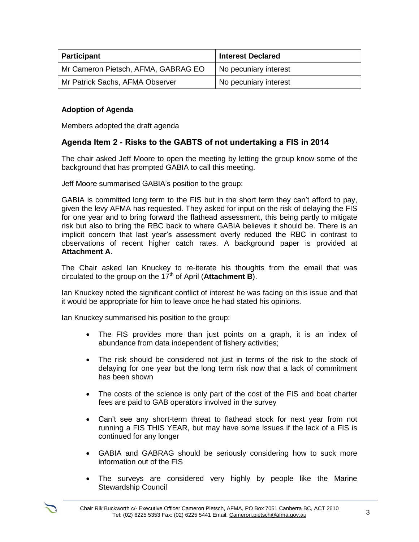| <b>Participant</b>                  | <b>Interest Declared</b> |
|-------------------------------------|--------------------------|
| Mr Cameron Pietsch, AFMA, GABRAG EO | No pecuniary interest    |
| Mr Patrick Sachs, AFMA Observer     | No pecuniary interest    |

# **Adoption of Agenda**

Members adopted the draft agenda

# **Agenda Item 2 - Risks to the GABTS of not undertaking a FIS in 2014**

The chair asked Jeff Moore to open the meeting by letting the group know some of the background that has prompted GABIA to call this meeting.

Jeff Moore summarised GABIA's position to the group:

GABIA is committed long term to the FIS but in the short term they can't afford to pay, given the levy AFMA has requested. They asked for input on the risk of delaying the FIS for one year and to bring forward the flathead assessment, this being partly to mitigate risk but also to bring the RBC back to where GABIA believes it should be. There is an implicit concern that last year's assessment overly reduced the RBC in contrast to observations of recent higher catch rates. A background paper is provided at **Attachment A**.

The Chair asked Ian Knuckey to re-iterate his thoughts from the email that was circulated to the group on the 17<sup>th</sup> of April (**Attachment B**).

Ian Knuckey noted the significant conflict of interest he was facing on this issue and that it would be appropriate for him to leave once he had stated his opinions.

Ian Knuckey summarised his position to the group:

- The FIS provides more than just points on a graph, it is an index of abundance from data independent of fishery activities;
- The risk should be considered not just in terms of the risk to the stock of delaying for one year but the long term risk now that a lack of commitment has been shown
- The costs of the science is only part of the cost of the FIS and boat charter fees are paid to GAB operators involved in the survey
- Can't see any short-term threat to flathead stock for next year from not running a FIS THIS YEAR, but may have some issues if the lack of a FIS is continued for any longer
- GABIA and GABRAG should be seriously considering how to suck more information out of the FIS
- The surveys are considered very highly by people like the Marine Stewardship Council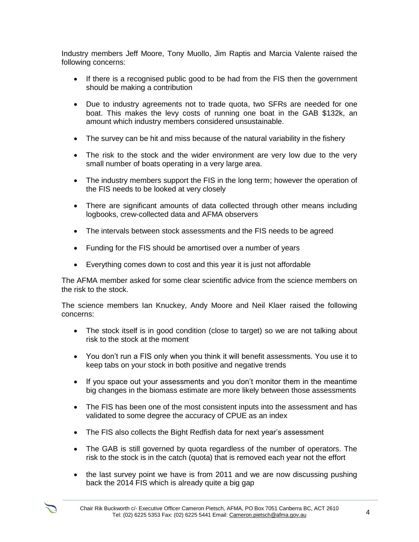Industry members Jeff Moore, Tony Muollo, Jim Raptis and Marcia Valente raised the following concerns:

- If there is a recognised public good to be had from the FIS then the government should be making a contribution
- Due to industry agreements not to trade quota, two SFRs are needed for one boat. This makes the levy costs of running one boat in the GAB \$132k, an amount which industry members considered unsustainable.
- The survey can be hit and miss because of the natural variability in the fishery
- The risk to the stock and the wider environment are very low due to the very small number of boats operating in a very large area.
- The industry members support the FIS in the long term; however the operation of the FIS needs to be looked at very closely
- There are significant amounts of data collected through other means including logbooks, crew-collected data and AFMA observers
- The intervals between stock assessments and the FIS needs to be agreed
- Funding for the FIS should be amortised over a number of years
- Everything comes down to cost and this year it is just not affordable

The AFMA member asked for some clear scientific advice from the science members on the risk to the stock.

The science members Ian Knuckey, Andy Moore and Neil Klaer raised the following concerns:

- The stock itself is in good condition (close to target) so we are not talking about risk to the stock at the moment
- You don't run a FIS only when you think it will benefit assessments. You use it to keep tabs on your stock in both positive and negative trends
- If you space out your assessments and you don't monitor them in the meantime big changes in the biomass estimate are more likely between those assessments
- The FIS has been one of the most consistent inputs into the assessment and has validated to some degree the accuracy of CPUE as an index
- The FIS also collects the Bight Redfish data for next year's assessment
- The GAB is still governed by quota regardless of the number of operators. The risk to the stock is in the catch (quota) that is removed each year not the effort
- the last survey point we have is from 2011 and we are now discussing pushing back the 2014 FIS which is already quite a big gap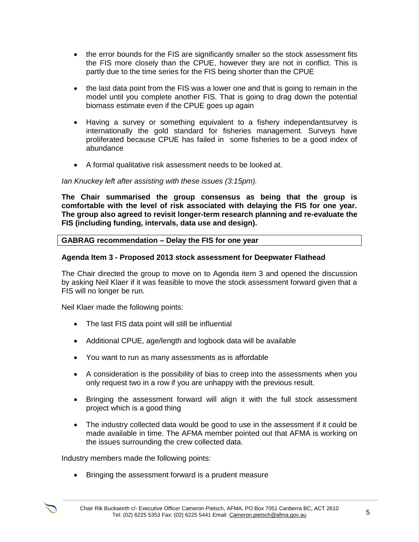- the error bounds for the FIS are significantly smaller so the stock assessment fits the FIS more closely than the CPUE, however they are not in conflict. This is partly due to the time series for the FIS being shorter than the CPUE
- the last data point from the FIS was a lower one and that is going to remain in the model until you complete another FIS. That is going to drag down the potential biomass estimate even if the CPUE goes up again
- Having a survey or something equivalent to a fishery independantsurvey is internationally the gold standard for fisheries management. Surveys have proliferated because CPUE has failed in some fisheries to be a good index of abundance
- A formal qualitative risk assessment needs to be looked at.

#### *Ian Knuckey left after assisting with these issues (3:15pm).*

**The Chair summarised the group consensus as being that the group is comfortable with the level of risk associated with delaying the FIS for one year. The group also agreed to revisit longer-term research planning and re-evaluate the FIS (including funding, intervals, data use and design).** 

### **GABRAG recommendation – Delay the FIS for one year**

### **Agenda Item 3 - Proposed 2013 stock assessment for Deepwater Flathead**

The Chair directed the group to move on to Agenda item 3 and opened the discussion by asking Neil Klaer if it was feasible to move the stock assessment forward given that a FIS will no longer be run.

Neil Klaer made the following points:

- The last FIS data point will still be influential
- Additional CPUE, age/length and logbook data will be available
- You want to run as many assessments as is affordable
- A consideration is the possibility of bias to creep into the assessments when you only request two in a row if you are unhappy with the previous result.
- Bringing the assessment forward will align it with the full stock assessment project which is a good thing
- The industry collected data would be good to use in the assessment if it could be made available in time. The AFMA member pointed out that AFMA is working on the issues surrounding the crew collected data.

Industry members made the following points:

• Bringing the assessment forward is a prudent measure